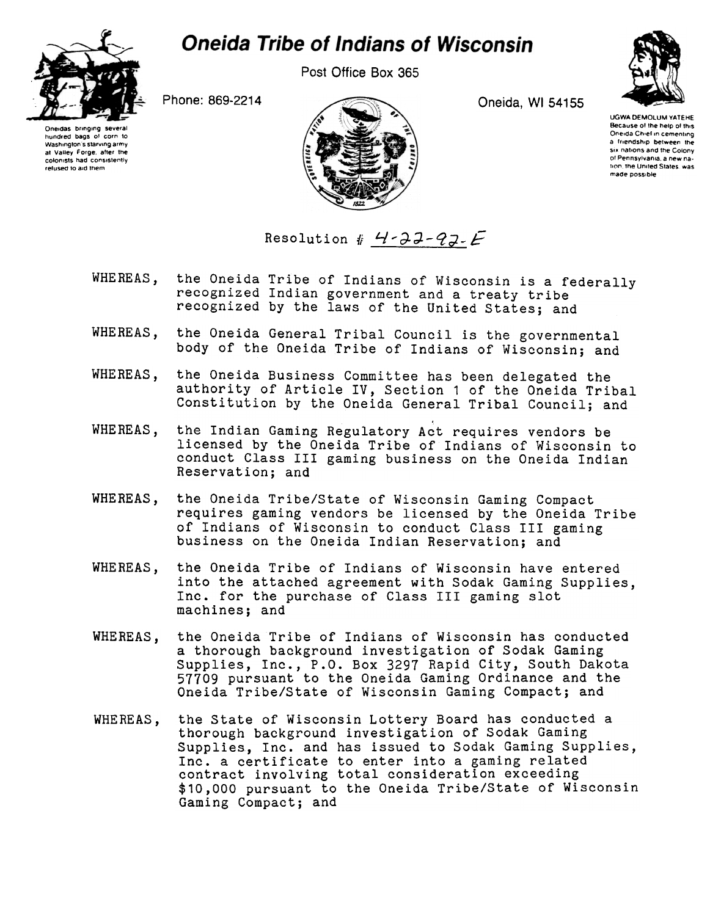

## **Oneida Tribe of Indians of Wisconsin**

Post Office Box 365



Oneidas bringing several hundred bags of corn to<br>Washington's starving army at Valley Forge, after the colonists had conSlslenlly refused to aid them





UGWA DEMOLUM YATEHE Because of the help of this Oneida Chiel in cementing a friendship between the six nations and the Colony of Pennsylvania, a new nation, the United States, was made possoble

Resolution #  $4-32-92$ .

- the Oneida Tribe of Indians of Wisconsin is a federally WHEREAS, recognized Indian government and a treaty tribe recognized by the laws of the United States; and
- WHEREAS, the Oneida General Tribal Council is the governmental body of the Oneida Tribe of Indians of Wisconsin; and
- WHEREAS, the Oneida Business Committee has been delegated the authority of Article IV, Section 1 of the Oneida Tribal Constitution by the Oneida General Tribal Council; and
- WHEREAS, the Indian Gaming Regulatory Act requires vendors be licensed by the Oneida Tribe of Indians of Wisconsin to conduct Class III gaming business on the Oneida Indian Reservation; and
- WHEREAS, the Oneida Tribe/State of Wisconsin Gaming Compact requires gaming vendors be licensed by the Oneida Tribe of Indians of Wisconsin to conduct Class III gaming business on the Oneida Indian Reservation; and
- WHEREAS, the Oneida Tribe of Indians of Wisconsin have entered into the attached agreement with Sodak Gaming Supplies, Inc. for the purchase of Class III gaming slot machines; and
- WHEREAS, the Oneida Tribe of Indians of Wisconsin has conducted a thorough background investigation of Sodak Gaming Supplies, Inc., P.O. Box 3297 Rapid City, South Dakot 57709 pursuant to the Oneida Gaming Ordinance and the Oneida Tribe/State of Wisconsin Gaming Compact; and
- WHEREAS, the State of Wisconsin Lottery Board has conducted a thorough background investigation of Sodak Gaming Supplies, Inc. and has issued to Sodak Gaming Supplies, Inc. a certificate to enter into a gaming related contract involving total consideration exceeding \$10,000 pursuant to the Oneida Tribe/State of Wisconsin Gaming Compact; and